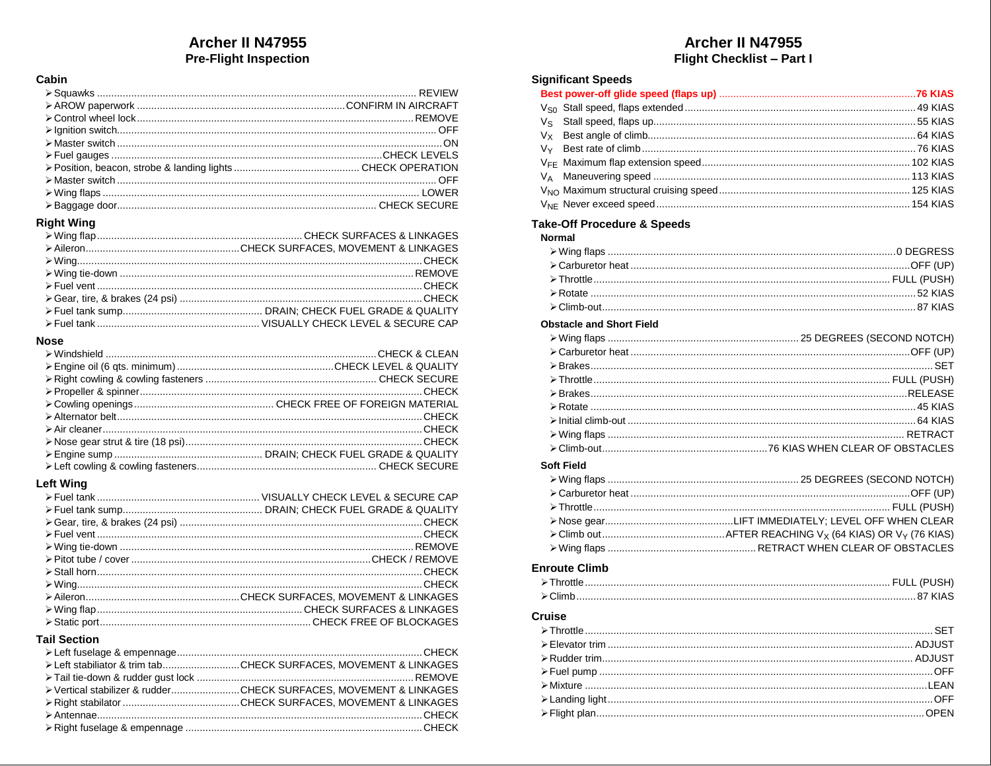# Archer II N47955 **Pre-Flight Inspection**

### Cabin

# **Right Wing**

#### **Nose**

| Determination of HECK And CHECK And CHECK And CHECK And CHECK And CHECK And An Annah CHECK And An Annah CHECK |  |
|---------------------------------------------------------------------------------------------------------------|--|
|                                                                                                               |  |
|                                                                                                               |  |
|                                                                                                               |  |

## **Left Wing**

#### **Tail Section**

| ≻ Left stabiliator & trim tab CHECK SURFACES. MOVEMENT & LINKAGES |
|-------------------------------------------------------------------|
|                                                                   |
| ≻ Vertical stabilizer & rudderCHECK SURFACES. MOVEMENT & LINKAGES |
|                                                                   |
|                                                                   |
|                                                                   |

# Archer II N47955 Flight Checklist - Part I

### **Significant Speeds**

## **Take-Off Procedure & Speeds**

| <b>Normal</b> |  |
|---------------|--|
|               |  |
|               |  |
|               |  |
|               |  |
|               |  |

#### **Obstacle and Short Field**

#### **Soft Field**

### **Enroute Climb**

| $\triangleright$ Climb. |  |
|-------------------------|--|

#### **Cruise**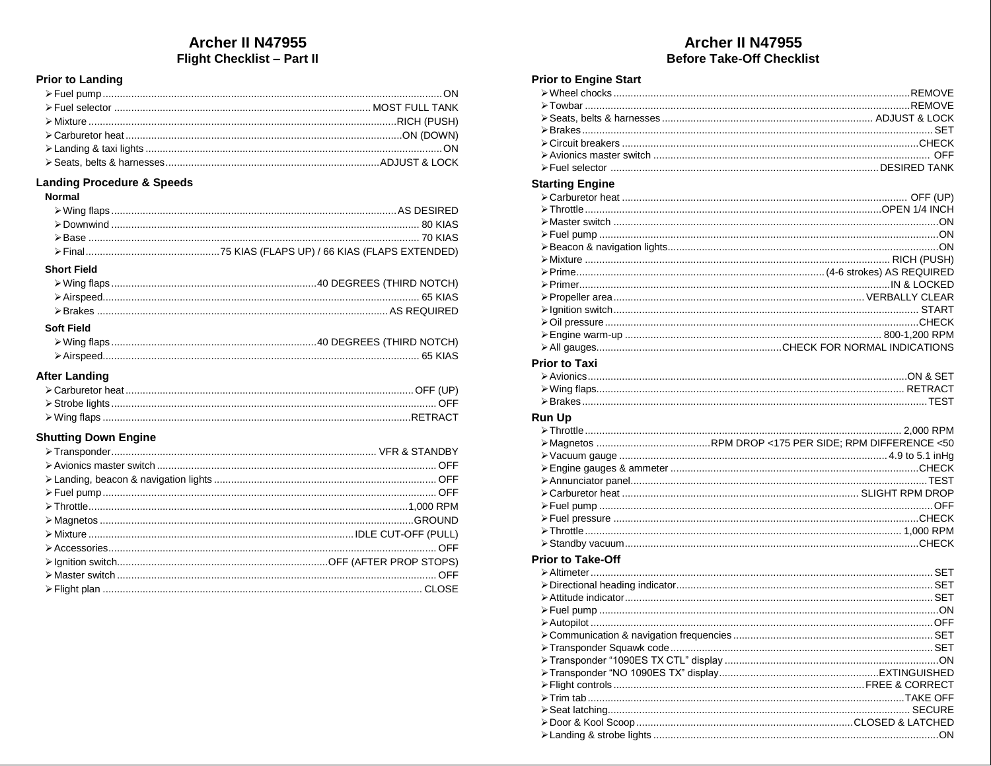# Archer II N47955 **Flight Checklist - Part II**

### **Prior to Landing**

#### **Landing Procedure & Speeds**

#### Normal

| <b>Short Field</b> |  |
|--------------------|--|
|                    |  |
|                    |  |
|                    |  |
| <b>Soft Field</b>  |  |
|                    |  |

### **After Landing**

## **Shutting Down Engine**

# Archer II N47955 **Before Take-Off Checklist**

### **Prior to Engine Start**

### **Starting Engine**

| <b>Prior to Taxi</b> |  |
|----------------------|--|
|                      |  |
|                      |  |
|                      |  |
| <b>Run Up</b>        |  |
|                      |  |
|                      |  |
|                      |  |
|                      |  |
|                      |  |
|                      |  |
|                      |  |
|                      |  |
|                      |  |
|                      |  |
|                      |  |

# **Prior to Take-Off**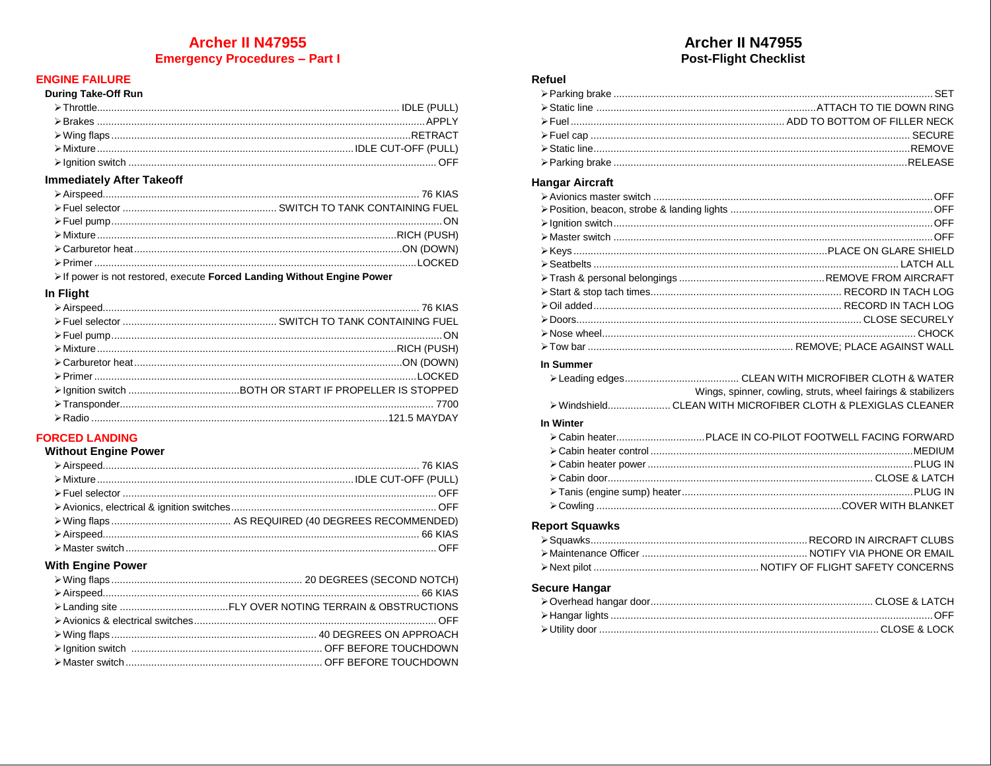# **Archer II N47955 Emergency Procedures - Part I**

## **ENGINE FAILURE**

#### During Take-Off Run

#### **Immediately After Takeoff**

> If power is not restored, execute Forced Landing Without Engine Power

#### In Flight

### **FORCED LANDING**

### **Without Engine Power**

### **With Engine Power**

# Archer II N47955 **Post-Flight Checklist**

#### Refuel

### **Hangar Aircraft**

| In Summer             |                                                               |
|-----------------------|---------------------------------------------------------------|
|                       |                                                               |
|                       | Wings, spinner, cowling, struts, wheel fairings & stabilizers |
|                       | > WindshieldCLEAN WITH MICROFIBER CLOTH & PLEXIGLAS CLEANER   |
| In Winter             |                                                               |
|                       |                                                               |
|                       |                                                               |
|                       |                                                               |
|                       |                                                               |
|                       |                                                               |
|                       |                                                               |
| <b>Report Squawks</b> |                                                               |
|                       |                                                               |
|                       |                                                               |
|                       |                                                               |
|                       |                                                               |
| <b>Secure Hangar</b>  |                                                               |
|                       |                                                               |
|                       |                                                               |